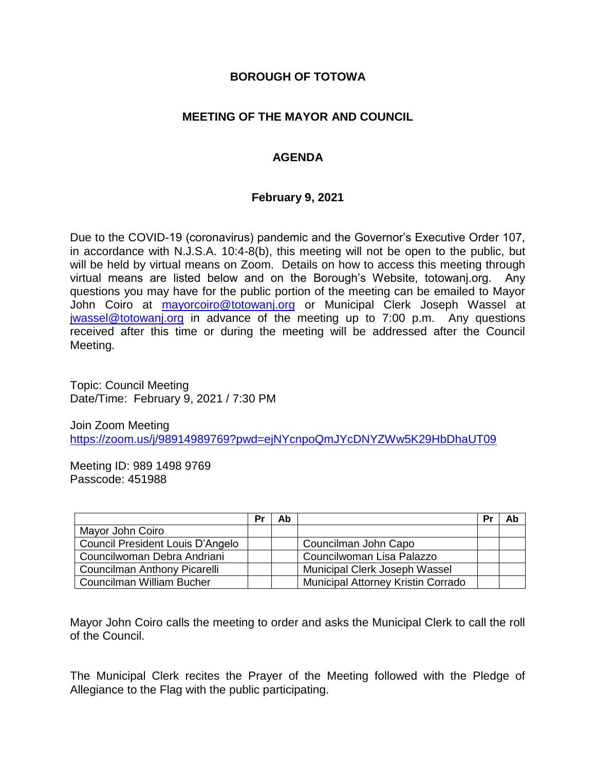### **BOROUGH OF TOTOWA**

## **MEETING OF THE MAYOR AND COUNCIL**

# **AGENDA**

### **February 9, 2021**

Due to the COVID-19 (coronavirus) pandemic and the Governor's Executive Order 107, in accordance with N.J.S.A. 10:4-8(b), this meeting will not be open to the public, but will be held by virtual means on Zoom. Details on how to access this meeting through virtual means are listed below and on the Borough's Website, totowanj.org. Any questions you may have for the public portion of the meeting can be emailed to Mayor John Coiro at [mayorcoiro@totowanj.org](mailto:mayorcoiro@totowanj.org) or Municipal Clerk Joseph Wassel at [jwassel@totowanj.org](mailto:jwassel@totowanj.org) in advance of the meeting up to 7:00 p.m. Any questions received after this time or during the meeting will be addressed after the Council Meeting.

Topic: Council Meeting Date/Time: February 9, 2021 / 7:30 PM

Join Zoom Meeting <https://zoom.us/j/98914989769?pwd=ejNYcnpoQmJYcDNYZWw5K29HbDhaUT09>

Meeting ID: 989 1498 9769 Passcode: 451988

|                                  | Pr | Ab |                                           | Pr | Ab |
|----------------------------------|----|----|-------------------------------------------|----|----|
| Mayor John Coiro                 |    |    |                                           |    |    |
| Council President Louis D'Angelo |    |    | Councilman John Capo                      |    |    |
| Councilwoman Debra Andriani      |    |    | Councilwoman Lisa Palazzo                 |    |    |
| Councilman Anthony Picarelli     |    |    | Municipal Clerk Joseph Wassel             |    |    |
| Councilman William Bucher        |    |    | <b>Municipal Attorney Kristin Corrado</b> |    |    |

Mayor John Coiro calls the meeting to order and asks the Municipal Clerk to call the roll of the Council.

The Municipal Clerk recites the Prayer of the Meeting followed with the Pledge of Allegiance to the Flag with the public participating.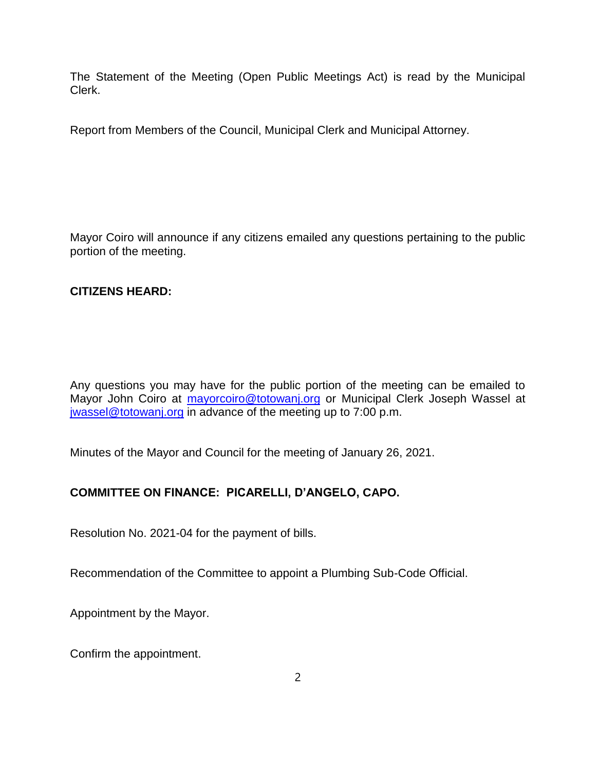The Statement of the Meeting (Open Public Meetings Act) is read by the Municipal Clerk.

Report from Members of the Council, Municipal Clerk and Municipal Attorney.

Mayor Coiro will announce if any citizens emailed any questions pertaining to the public portion of the meeting.

# **CITIZENS HEARD:**

Any questions you may have for the public portion of the meeting can be emailed to Mayor John Coiro at [mayorcoiro@totowanj.org](mailto:mayorcoiro@totowanj.org) or Municipal Clerk Joseph Wassel at [jwassel@totowanj.org](mailto:jwassel@totowanj.org) in advance of the meeting up to 7:00 p.m.

Minutes of the Mayor and Council for the meeting of January 26, 2021.

# **COMMITTEE ON FINANCE: PICARELLI, D'ANGELO, CAPO.**

Resolution No. 2021-04 for the payment of bills.

Recommendation of the Committee to appoint a Plumbing Sub-Code Official.

Appointment by the Mayor.

Confirm the appointment.